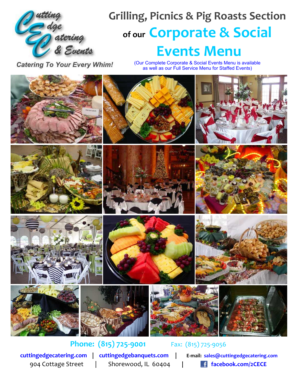

# **Grilling, Picnics & Pig Roasts Section of our Corporate & Social Events Menu**

**Catering To Your Every Whim!** 

(Our Complete Corporate & Social Events Menu is available as well as our Full Service Menu for Staffed Events)



**[cuttingedgecatering.com](http://cuttingedgecatering.com) | [cuttingedgebanquets.com](http://cuttingedgebanquets.com) | E-mail: [sales@cuttingedgecatering.com](mailto:sales@cuttingedgecatering.com)**

**Phone: (815) 725-9001** Fax: (815) 725-9056

904 Cottage Street | Shorewood, IL 60404 **| [facebook.com/2CECE](https://facebook.com/2CECE)**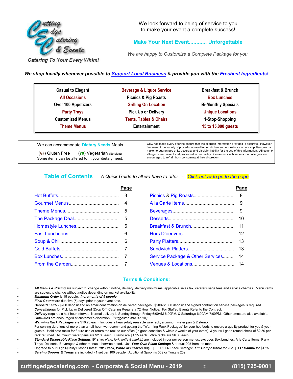

We look forward to being of service to you to make your event a complete success!

### **Make Your Next Event............ Unforgettable**

*We are happy to Customize a Complete Package for you.*

**Catering To Your Every Whim!** 

*We shop locally whenever possible to Support Local Business & provide you with the Freshest Ingredients!*

| <b>Casual to Elegant</b> | <b>Beverage &amp; Liquor Service</b> | <b>Breakfast &amp; Brunch</b> |
|--------------------------|--------------------------------------|-------------------------------|
| <b>All Occasions</b>     | <b>Picnics &amp; Pig Roasts</b>      | <b>Box Lunches</b>            |
| Over 100 Appetizers      | <b>Grilling On Location</b>          | <b>Bi-Monthly Specials</b>    |
| <b>Party Trays</b>       | <b>Pick Up or Delivery</b>           | <b>Unique Locations</b>       |
| <b>Customized Menus</b>  | <b>Tents, Tables &amp; Chairs</b>    | 1-Stop-Shopping               |
| <b>Theme Menus</b>       | <b>Entertainment</b>                 | 15 to 15,000 guests           |

### We can accommodate **Dietary Needs** Meals

(GF) Gluten Free | (VG) Vegetarian (No Meat) Some items can be altered to fit your dietary need. CEC has made every effort to ensure that the allergen information provided is accurate. However, because of the variety of procedures used in our kitchen and our reliance on our suppliers, we can<br>make no guarantees of its accuracy and disclaim liability for the use of this information. All common<br>allergens are presen encouraged to refrain from consuming at their discretion.

**Table of Contents** *A Quick Guide to all we have to offer - Click below to go to the page*

| Page |                                  | Page |
|------|----------------------------------|------|
|      |                                  |      |
|      |                                  | 9    |
|      |                                  |      |
|      |                                  | -10  |
|      |                                  |      |
|      |                                  |      |
|      |                                  |      |
|      |                                  |      |
|      | Service Package & Other Services | -14  |
|      |                                  |      |

### **Terms & Conditions:**

*• All Menus & Pricing* are subject to: change without notice, delivery, delivery minimums, applicable sales tax, caterer usage fees and service charges. Menu items are subject to change without notice depending on market availability.

*• Minimum Order* is 15 people. *Increments of 5 people.*

*Final Counts* are due five (5) days prior to your event date.

*• Deposits:* \$25 - \$200 deposit and an email confirmation on delivered packages. \$200-\$1000 deposit and signed contract on service packages is required.

*• Cancellations* for Pick Up or Delivered (Drop Off) Catering Require a 72 Hour Notice. For Staffed Events Refer to the Contract.

*• Delivery* requires a half hour interval. Normal delivery is Sunday through Friday 6:00AM-6:00PM, & Saturdays 6:00AM-7:00PM. Other times are also available. *• Gratuities* are encouraged at customer's discretion. *(Suggested rate 3-18%)*

*• Warming Rack Packages* are \$10.25 each: Includes a heavy-duty reusable wire rack, aluminum water pan & 2 sterno.

For serving durations of more than a half hour, we recommend getting the "Warming Rack Packages" for your hot foods to ensure a quality product for you & your guests. Hold onto racks for future use or return the rack to our office (in good condition & within 2 weeks of your event), & you will get a refund check of \$2.50 per rack returned. Aluminum water pans are \$2.00 each. Sterno are \$1.25 each. Wire racks are \$6.00 each.

*• Standard Disposable Place Settings (9" styro plate, fork, knife & napkin)* are included in our per person menus, excludes Box Lunches, A la Carte Items, Party Trays, Desserts, Beverages & other menus otherwise noted. Use *Your Own Place Settings* & deduct 20¢ from the menu.

*•* Upgrade to our High Quality Plastic Plates: *10" Black, White or Clear* for 80¢ | GREEN Place Settings**:** *10" Compostable* for 20¢ | *11" Bambu* for \$1.25 *• Serving Spoons & Tongs* are included - 1 set per 100 people. Additional Spoon is 50¢ or Tong is 25¢.

<span id="page-1-0"></span>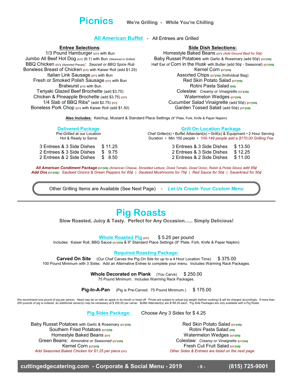<span id="page-2-0"></span>**Picnics We're Grilling - While You're Chilling**

**Entree Selections**:

1/3 Pound Hamburger  $(GF)$  with Bun Jumbo All Beef Hot Dog (GF) (6:1) with Bun *(Steamed or Grilled)* BBQ Chicken (GF) (Assorted Pieces): *Sauced or BBQ Spice Rub* Boneless Breast of Chicken (GF) with Kaiser Roll (add \$1.25) Italian Link Sausage (GF) with Bun Fresh or Smoked Polish Sausage (GF) with Bun Bratwurst (GF) with Bun Teriyaki Glazed Beef Brochette (add \$3.75) Chicken & Pineapple Brochette (add \$3.75) (GF) 1/4 Slab of BBQ Ribs\* (add \$2.75)  $(GF)$ Boneless Pork Chop (GF) with Kaiser Roll (add \$1.50)

**All American Buffet** - All Entrees are Grilled

### **Side Dish Selections:**

Homestyle Baked Beans (GF) *(Add Ground Beef for 50¢)* Baby Russet Potatoes with Garlic & Rosemary (add 50¢) (GFIVG) Half Ear of Corn in the Husk with Butter (add  $50¢$  - Seasonal) (GFIVG) Kernel Corn (GFIVG) Assorted Chips (GFIVG) (Individual Bag) Red Skin Potato Salad (GFIVG) Rotini Pasta Salad (VG) Coleslaw: *Creamy or Vinaigrette* (GF|VG) Watermelon Wedges (GFIVG) Cucumber Salad Vinaigrette (add 50¢) (GF|VG) Garden Tossed Salad (add 50¢) (GF|VG)

**Also Includes:** Ketchup, Mustard & Standard Place Settings (9" Plate, Fork, Knife & Paper Napkin)

### **Delivered Package**

Pre-Grilled at our Location Hot & Ready to Serve

3 Entrees & 3 Side Dishes \$ 11.25 2 Entrees & 3 Side Dishes \$ 9.75<br>2 Entrees & 2 Side Dishes \$ 8.50 2 Entrees & 2 Side Dishes

**Grill On Location Package**

Chef Griller(s) • Buffet Attendant(s) • Grill(s) & Equipment • 2 Hour Serving Duration • Min 150 people • *100-149 people add a \$170.00 Grilling Fee*

> 3 Entrees & 3 Side Dishes \$ 13.50 2 Entrees & 3 Side Dishes \$ 12.25 2 Entrees & 2 Side Dishes \$ 11.00

*All American Condiment Package* (GF|VG) *(American Cheese, Shredded Lettuce, Diced Tomato, Diced Onion, Relish & Pickle Slices) add 95¢ Add Ons* (GF|VG)*: Sauteed Onions & Green Peppers for 85¢ | Sauteed Mushrooms for 75¢ | Red Sauce for 50¢ | Sauerkraut for 50¢*

Other Grilling Items are Available (See Next Page) - *Let Us Create Your Custom Menu*

# <span id="page-2-1"></span>**Pig Roasts**

**Slow Roasted, Juicy & Tasty. Perfect for Any Occasion...... Simply Delicious!**

**Whole Roasted Pig (GF)** \$5.25 per pound

Includes: Kaiser Roll, BBQ Sauce (GF|vG) & 9" Standard Place Settings (9" Plate, Fork, Knife & Paper Napkin)

**Required Roasting Package:**

**Carved On Site** (Our Chef Carves the Pig On Site for up to a 4 Hour Location Time) \$ 375.00 100 Pound Minimum with 3 Sides. Add an Alternative Entree to complete your menu. Includes Warming Rack Packages.

> **Whole Decorated on Plank** (You Carve) \$250.00 75 Pound Minimum. Includes Warming Rack Packages.

**Pig-In-A-Pan** (Pig is Pre-Carved. 75 Pound Minimum.) \$ 175.00

We recommend one pound of pig per person. Head may be on with an apple in its mouth or head off. Prices are subject to actual pig weight (before cooking) & will be charged accordingly. If more than<br>200 pounds of pig is

**Pig Sides Package:** Choose Any 3 Sides for \$ 4.25

Baby Russet Potatoes with Garlic & Rosemary (GFIVG) Southern Fried Potatoes (GFIVG) Homestyle Baked Beans (GF) **Green Beans:** Almondine or Seasoned (GFIVG) Kernel Corn (GFIVG) *Add Seasoned Baked Chicken for \$1.25 per piece* (GF)

Red Skin Potato Salad (GF|VG) Rotini Pasta Salad (VG) Watermelon Wedges (GFIVG) Coleslaw: *Creamy or Vinaigrette* (GF|VG) **Fresh Cut Fruit Salad (GFIVG)** *Other Sides & Entrees are listed on the next page*

**cuttingedgecatering.com - Corporate & Social Menu - 2019 - 8 - (815) 725-9001**

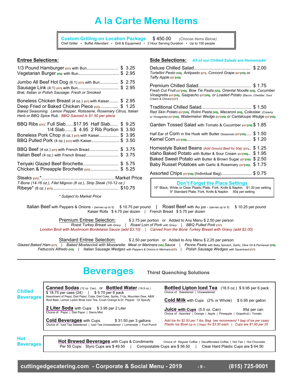# <span id="page-3-0"></span>**A la Carte Menu Items**

**Custom Grilling on Location Package** \$ 450.00 *(Choose Items Below)* Chef Griller • Buffet Attendant • Grill & Equipment • 2 Hour Serving Duration • Up to 150 people

### **Entree Selections:**

| 1/3 Pound Hamburger (GF) with Bun\$ 3.25<br>Vegetarian Burger (vg) with Bun\$ 2.95                                                                                                                                                         |  |
|--------------------------------------------------------------------------------------------------------------------------------------------------------------------------------------------------------------------------------------------|--|
| Jumbo All Beef Hot Dog (6:1) (GF) with Bun \$ 2.75<br>Sausage Link (4:1) (GF) with Bun\$ 2.95<br>Brat, Italian or Polish Sausage: Fresh or Smoked                                                                                          |  |
| Boneless Chicken Breast (4 oz.) (GF) with Kaiser \$ 2.95<br>Deep Fried or Baked Chicken Piece (GF) \$ 1.25<br>Baked Seasoning: Lemon Pepper, Rotisserie, Rosemary Citrus, Italian<br>Herb or BBQ Spice Rub. BBQ Sauced is \$1.50 per piece |  |
| BBQ Ribs (GF): Full Slab\$17.95 Half Slab \$ 9.25<br>1/4 Slab\$ 4.95 2 Rib Portion \$ 3.50<br>Boneless Pork Chop (6 oz.) (GF) with Kaiser\$ 3.95<br>BBQ Pulled Pork (4 oz.) (GF) with Kaiser\$ 3.50                                        |  |
| BBQ Beef (4 oz.) (GF) with French Bread\$ 3.75<br>Italian Beef (4 oz.) with French Bread\$ 3.75                                                                                                                                            |  |
| Teriyaki Glazed Beef Brochette\$ 5.75<br>Chicken & Pineapple Brochette (GF)\$ 5.25                                                                                                                                                         |  |
| T-Bone (14-16 oz.), Filet Mignon (8 oz.), Strip Steak (10-12 oz.)                                                                                                                                                                          |  |
| * Subject to Market Price                                                                                                                                                                                                                  |  |

### **Side Selections:** *All of our Chilled Salads are Homemade!*

| Tortellini Pesto (ve), Antipasto (GF), Concord Grape (GF) ve) or<br>Taffy Apple (GFIVG)                                                                                                                                     |                                      |
|-----------------------------------------------------------------------------------------------------------------------------------------------------------------------------------------------------------------------------|--------------------------------------|
| Fresh Cut Fruit (GFIVG), Bow Tie Pasta (VG), Oriental Noodle (VG), Cucumber<br>Vinaigrette (GFIVG), Gazpacho (GFIVG), or Loaded Potato (Bacon, Cheddar, Sour<br>Cream & Chives) (GF)                                        |                                      |
| Red Skin Potato (GFIVG), Rotini Pasta (VG), Macaroni (VG), Coleslaw: (Creamy<br>or Vinaigrette) (GFIVG), Watermelon Wedge (GFIVG) or Cantaloupe Wedge (GFIVG)                                                               |                                      |
| Garden Tossed Salad with Tomato & Cucumber (GFIVG) \$1.85                                                                                                                                                                   |                                      |
| Half Ear of COIN in the Husk with Butter (Seasonal) (GFIVG) \$ 1.50                                                                                                                                                         |                                      |
| Homestyle Baked Beans (Add Ground Beef for 50¢) (GF)<br>Idaho Baked Potato with Butter & Sour Cream (GFIVG)<br>Baked Sweet Potato with Butter & Brown Sugar (GFIVG)<br>Baby Russet Potatoes with Garlic & Rosemary (GFIVG). | \$1.25<br>\$1.95<br>\$2.50<br>\$1.75 |
| Assorted Chips (GFIVG) (Individual Bag)\$ 0.75                                                                                                                                                                              |                                      |

**Don't Forget the Place Settings** 10" Black, White or Clear Plastic Plate, Fork, Knife & Napkin \$1.30 per setting 9" Standard Plate, Fork, Knife & Napkin 50¢ per setting

Italian Beef with Peppers & Onions - (serves up to 5) \$ 10.75 per pound | Roast Beef with Au jus - (serves up to 5) \$ 10.25 per pound Kaiser Rolls \$4.75 per dozen | French Bread \$5.75 per dozen

Premium Entree Selection: \$ 2.75 per portion or Added to Any Menu \$ 2.50 per person *Roast Turkey Breast with Gravy | Roast Loin of Pork with Gravy | BBQ Pulled Pork* (GF) *London Broil with Mushroom Bordelaise Sauce (add \$3.10) | Carved from the Bone Turkey Breast with Gravy (add \$2.00)*

Standard Entree Selection: \$ 2.50 per portion or Added to Any Menu \$ 2.25 per person Glazed Baked Ham (GF) | Baked Mostaccioli with Mozzarella: Meat or Marinara (vG) Sauce | Penne Pasta with Baby Spinach, Garlic, Olive Oil & Parmesan (vG) *Fettuccini Alfredo* (VG) *| Italian Sausage Wedges with Peppers & Onions in Marinara* (GF) *| Polish Sausage Wedges with Sauerkraut* (GF)

### <span id="page-3-1"></span>**Beverages Thirst Quenching Solutions**

| <b>Chilled</b><br><b>Beverages</b> | <b>Canned Sodas</b> (12 oz. Can) or <b>Bottled Water</b> (16.9 oz.)<br>\$18.75 per case (24)<br>$$5.70$ per 6 pack<br>Assortment of Pepsi, Diet Pepsi, Coke, Diet Coke, Sprite, 7-Up, Mountain Dew, A&W | <b>Bottled Lipton Iced Tea</b> (18.5 oz.) \$9.95 per 6 pack<br>Choice of: Sweetened   Unsweetened                                                  |  |  |  |
|------------------------------------|---------------------------------------------------------------------------------------------------------------------------------------------------------------------------------------------------------|----------------------------------------------------------------------------------------------------------------------------------------------------|--|--|--|
|                                    | Root Beer, Lemon Lipton Brisk Iced Tea, Crush Orange & Dr. Pepper. Or Specify                                                                                                                           | <b>Cold Milk</b> with Cups (2% or Whole)<br>\$6.95 per gallon                                                                                      |  |  |  |
|                                    | <b>2 Liter Soda</b> with Cups \$3.95 per 2 Liter<br>Choice of: Pepsi   Diet Pepsi   Sierra Mist                                                                                                         | <b>Juice with Cups</b> $(5.5 \text{ oz. Can})$<br>95¢ per can<br>Choice of: Assorted   Orange   Apple   Pineapple   Grapefruit   Tomato            |  |  |  |
|                                    | <b>Cold Beverages with Cups</b><br>\$31.50 per 3 gallons<br>Choice of: Iced Tea Sweetened   Iced Tea Unsweetened   Lemonade   Fruit Punch                                                               | Add Ice for \$2.50 per 7 lbs. Bag (we recommend 1 bag of ice per case)<br>Plastic Ice Bowl (up to 2 bags) for \$3.50 each   Cups are \$1.95 per 25 |  |  |  |
|                                    |                                                                                                                                                                                                         |                                                                                                                                                    |  |  |  |
| <b>Hot</b><br><b>Beverages</b>     | <b>Hot Brewed Beverages with Cups &amp; Condiments</b><br>Per 50 Cups: Styro Cups are \$49.50                                                                                                           | Choice of: Regular Coffee<br>Decaffeinated Coffee   Hot Tea   Hot Chocolate<br>Compostable Cups are \$56.50<br>Clear Hard Plastic Cups are \$64.50 |  |  |  |